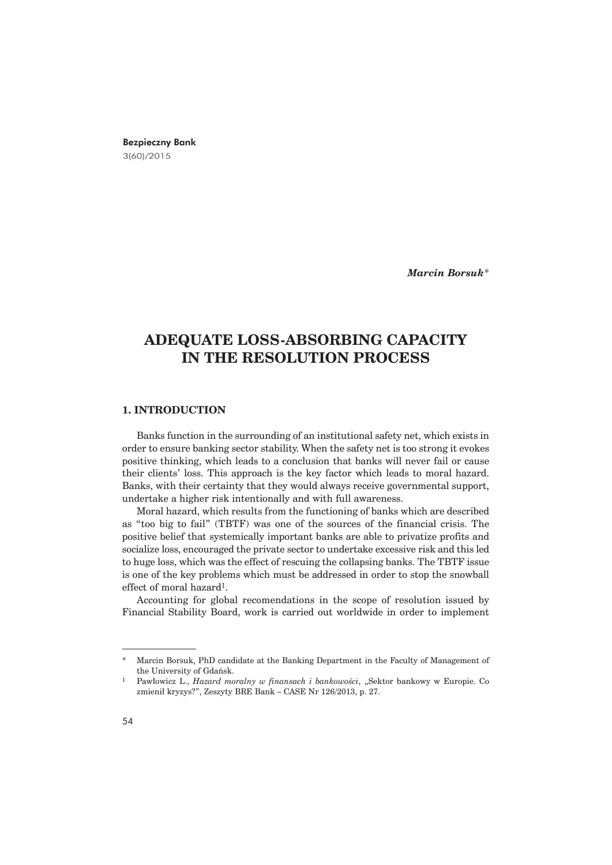## Bezpieczny Bank 3(60)/2015

*Marcin Borsuk*\*

# **ADEQUATE LOSS-ABSORBING CAPACITY IN THE RESOLUTION PROCESS**

# **1. INTRODUCTION**

Banks function in the surrounding of an institutional safety net, which exists in order to ensure banking sector stability. When the safety net is too strong it evokes positive thinking, which leads to a conclusion that banks will never fail or cause their clients' loss. This approach is the key factor which leads to moral hazard. Banks, with their certainty that they would always receive governmental support, undertake a higher risk intentionally and with full awareness.

Moral hazard, which results from the functioning of banks which are described as "too big to fail" (TBTF) was one of the sources of the financial crisis. The positive belief that systemically important banks are able to privatize profits and socialize loss, encouraged the private sector to undertake excessive risk and this led to huge loss, which was the effect of rescuing the collapsing banks. The TBTF issue is one of the key problems which must be addressed in order to stop the snowball effect of moral hazard1.

Accounting for global recomendations in the scope of resolution issued by Financial Stability Board, work is carried out worldwide in order to implement

Marcin Borsuk, PhD candidate at the Banking Department in the Faculty of Management of the University of Gdañsk.

<sup>&</sup>lt;sup>1</sup> Pawłowicz L., *Hazard moralny w finansach i bankowości*, "Sektor bankowy w Europie. Co zmienił kryzys?", Zeszyty BRE Bank – CASE Nr 126/2013, p. 27.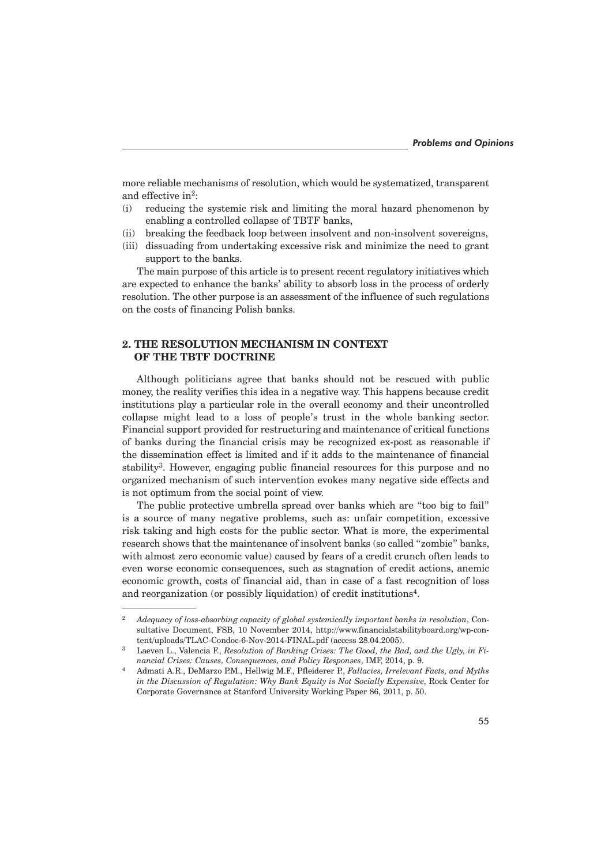more reliable mechanisms of resolution, which would be systematized, transparent and effective in<sup>2</sup>:

- (i) reducing the systemic risk and limiting the moral hazard phenomenon by enabling a controlled collapse of TBTF banks,
- (ii) breaking the feedback loop between insolvent and non-insolvent sovereigns,
- (iii) dissuading from undertaking excessive risk and minimize the need to grant support to the banks.

The main purpose of this article is to present recent regulatory initiatives which are expected to enhance the banks' ability to absorb loss in the process of orderly resolution. The other purpose is an assessment of the influence of such regulations on the costs of financing Polish banks.

# **2. THE RESOLUTION MECHANISM IN CONTEXT OF THE TBTF DOCTRINE**

Although politicians agree that banks should not be rescued with public money, the reality verifies this idea in a negative way. This happens because credit institutions play a particular role in the overall economy and their uncontrolled collapse might lead to a loss of people's trust in the whole banking sector. Financial support provided for restructuring and maintenance of critical functions of banks during the financial crisis may be recognized ex-post as reasonable if the dissemination effect is limited and if it adds to the maintenance of financial stability3. However, engaging public financial resources for this purpose and no organized mechanism of such intervention evokes many negative side effects and is not optimum from the social point of view.

The public protective umbrella spread over banks which are "too big to fail" is a source of many negative problems, such as: unfair competition, excessive risk taking and high costs for the public sector. What is more, the experimental research shows that the maintenance of insolvent banks (so called "zombie" banks, with almost zero economic value) caused by fears of a credit crunch often leads to even worse economic consequences, such as stagnation of credit actions, anemic economic growth, costs of financial aid, than in case of a fast recognition of loss and reorganization (or possibly liquidation) of credit institutions<sup>4</sup>.

<sup>2</sup> *Adequacy of loss-absorbing capacity of global systemically important banks in resolution*, Consultative Document, FSB, 10 November 2014, http://www.financialstabilityboard.org/wp-content/uploads/TLAC-Condoc-6-Nov-2014-FINAL.pdf (access 28.04.2005).

Laeven L., Valencia F., *Resolution of Banking Crises: The Good, the Bad, and the Ugly, in Financial Crises: Causes, Consequences, and Policy Responses*, IMF, 2014, p. 9.

<sup>4</sup> Admati A.R., DeMarzo P.M., Hellwig M.F., Pfleiderer P., *Fallacies, Irrelevant Facts, and Myths in the Discussion of Regulation: Why Bank Equity is Not Socially Expensive*, Rock Center for Corporate Governance at Stanford University Working Paper 86, 2011, p. 50.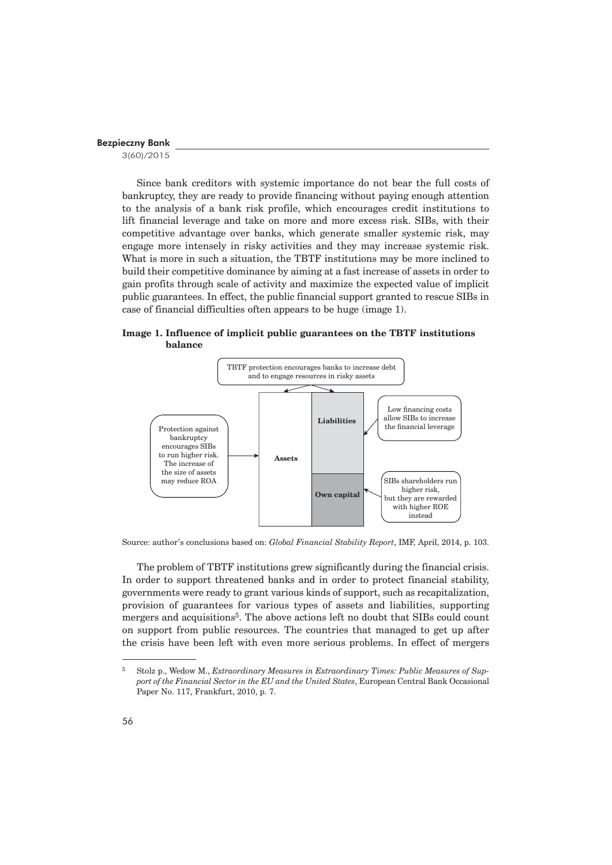3(60)/2015

Since bank creditors with systemic importance do not bear the full costs of bankruptcy, they are ready to provide financing without paying enough attention to the analysis of a bank risk profile, which encourages credit institutions to lift financial leverage and take on more and more excess risk. SIBs, with their competitive advantage over banks, which generate smaller systemic risk, may engage more intensely in risky activities and they may increase systemic risk. What is more in such a situation, the TBTF institutions may be more inclined to build their competitive dominance by aiming at a fast increase of assets in order to gain profits through scale of activity and maximize the expected value of implicit public guarantees. In effect, the public financial support granted to rescue SIBs in case of financial difficulties often appears to be huge (image 1).

## **Image 1. Influence of implicit public guarantees on the TBTF institutions balance**



Source: author's conclusions based on: *Global Financial Stability Report*, IMF, April, 2014, p. 103.

The problem of TBTF institutions grew significantly during the financial crisis. In order to support threatened banks and in order to protect financial stability, governments were ready to grant various kinds of support, such as recapitalization, provision of guarantees for various types of assets and liabilities, supporting mergers and acquisitions<sup>5</sup>. The above actions left no doubt that SIBs could count on support from public resources. The countries that managed to get up after the crisis have been left with even more serious problems. In effect of mergers

<sup>5</sup> Stolz p., Wedow M., *Extraordinary Measures in Extraordinary Times: Public Measures of Support of the Financial Sector in the EU and the United States*, European Central Bank Occasional Paper No. 117, Frankfurt, 2010, p. 7.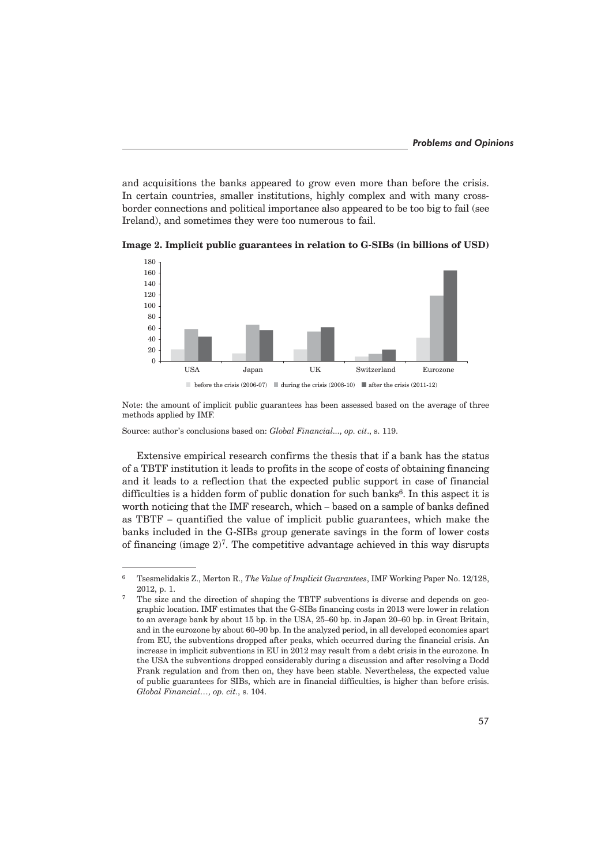and acquisitions the banks appeared to grow even more than before the crisis. In certain countries, smaller institutions, highly complex and with many crossborder connections and political importance also appeared to be too big to fail (see Ireland), and sometimes they were too numerous to fail.



**Image 2. Implicit public guarantees in relation to G-SIBs (in billions of USD)**

Note: the amount of implicit public guarantees has been assessed based on the average of three methods applied by IMF.

Source: author's conclusions based on: *Global Financial..., op. cit*., s. 119.

Extensive empirical research confirms the thesis that if a bank has the status of a TBTF institution it leads to profits in the scope of costs of obtaining financing and it leads to a reflection that the expected public support in case of financial difficulties is a hidden form of public donation for such banks $6$ . In this aspect it is worth noticing that the IMF research, which – based on a sample of banks defined as TBTF – quantified the value of implicit public guarantees, which make the banks included in the G-SIBs group generate savings in the form of lower costs of financing (image  $2^7$ . The competitive advantage achieved in this way disrupts

<sup>6</sup> Tsesmelidakis Z., Merton R., *The Value of Implicit Guarantees*, IMF Working Paper No. 12/128, 2012, p. 1.

<sup>7</sup> The size and the direction of shaping the TBTF subventions is diverse and depends on geographic location. IMF estimates that the G-SIBs financing costs in 2013 were lower in relation to an average bank by about 15 bp. in the USA, 25–60 bp. in Japan 20–60 bp. in Great Britain, and in the eurozone by about 60–90 bp. In the analyzed period, in all developed economies apart from EU, the subventions dropped after peaks, which occurred during the financial crisis. An increase in implicit subventions in EU in 2012 may result from a debt crisis in the eurozone. In the USA the subventions dropped considerably during a discussion and after resolving a Dodd Frank regulation and from then on, they have been stable. Nevertheless, the expected value of public guarantees for SIBs, which are in financial difficulties, is higher than before crisis. *Global Financial…, op. cit.*, s. 104.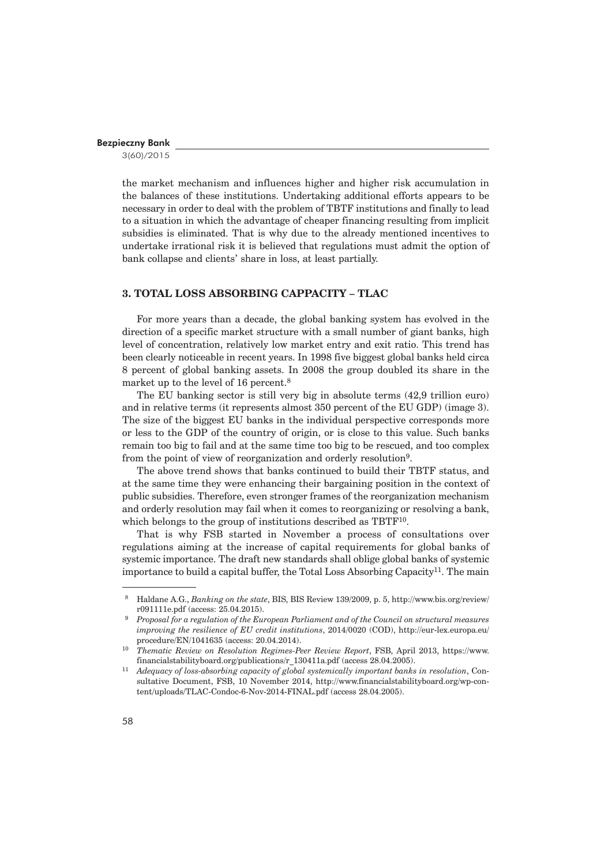3(60)/2015

the market mechanism and influences higher and higher risk accumulation in the balances of these institutions. Undertaking additional efforts appears to be necessary in order to deal with the problem of TBTF institutions and finally to lead to a situation in which the advantage of cheaper financing resulting from implicit subsidies is eliminated. That is why due to the already mentioned incentives to undertake irrational risk it is believed that regulations must admit the option of bank collapse and clients' share in loss, at least partially.

#### **3. TOTAL LOSS ABSORBING CAPPACITY – TLAC**

For more years than a decade, the global banking system has evolved in the direction of a specific market structure with a small number of giant banks, high level of concentration, relatively low market entry and exit ratio. This trend has been clearly noticeable in recent years. In 1998 five biggest global banks held circa 8 percent of global banking assets. In 2008 the group doubled its share in the market up to the level of 16 percent.<sup>8</sup>

The EU banking sector is still very big in absolute terms (42,9 trillion euro) and in relative terms (it represents almost 350 percent of the EU GDP) (image 3). The size of the biggest EU banks in the individual perspective corresponds more or less to the GDP of the country of origin, or is close to this value. Such banks remain too big to fail and at the same time too big to be rescued, and too complex from the point of view of reorganization and orderly resolution9.

The above trend shows that banks continued to build their TBTF status, and at the same time they were enhancing their bargaining position in the context of public subsidies. Therefore, even stronger frames of the reorganization mechanism and orderly resolution may fail when it comes to reorganizing or resolving a bank, which belongs to the group of institutions described as TBTF<sup>10</sup>.

That is why FSB started in November a process of consultations over regulations aiming at the increase of capital requirements for global banks of systemic importance. The draft new standards shall oblige global banks of systemic importance to build a capital buffer, the Total Loss Absorbing Capacity<sup>11</sup>. The main

 <sup>8</sup> Haldane A.G., *Banking on the state*, BIS, BIS Review 139/2009, p. 5, http://www.bis.org/review/ r091111e.pdf (access: 25.04.2015). 9 *Proposal for a regulation of the European Parliament and of the Council on structural measures* 

*improving the resilience of EU credit institutions*, 2014/0020 (COD), http://eur-lex.europa.eu/ procedure/EN/1041635 (access: 20.04.2014).

<sup>10</sup> *Thematic Review on Resolution Regimes-Peer Review Report*, FSB, April 2013, https://www. financialstabilityboard.org/publications/r\_130411a.pdf (access 28.04.2005).

<sup>11</sup> *Adequacy of loss-absorbing capacity of global systemically important banks in resolution*, Consultative Document, FSB, 10 November 2014, http://www.financialstabilityboard.org/wp-content/uploads/TLAC-Condoc-6-Nov-2014-FINAL.pdf (access 28.04.2005).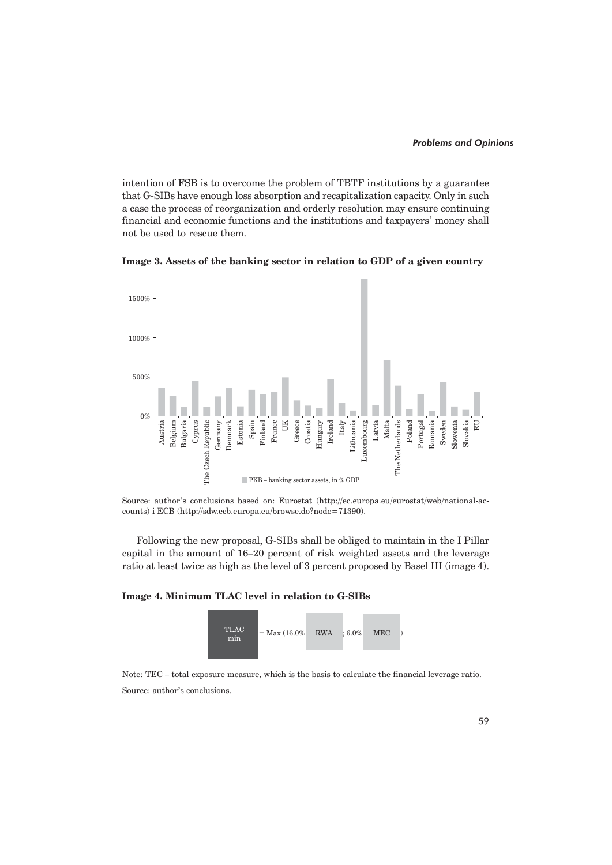intention of FSB is to overcome the problem of TBTF institutions by a guarantee that G-SIBs have enough loss absorption and recapitalization capacity. Only in such a case the process of reorganization and orderly resolution may ensure continuing financial and economic functions and the institutions and taxpayers' money shall not be used to rescue them.



**Image 3. Assets of the banking sector in relation to GDP of a given country**

Source: author's conclusions based on: Eurostat (http://ec.europa.eu/eurostat/web/national-accounts) i ECB (http://sdw.ecb.europa.eu/browse.do?node=71390).

Following the new proposal, G-SIBs shall be obliged to maintain in the I Pillar capital in the amount of 16–20 percent of risk weighted assets and the leverage ratio at least twice as high as the level of 3 percent proposed by Basel III (image 4).

## **Image 4. Minimum TLAC level in relation to G-SIBs**



Note: TEC – total exposure measure, which is the basis to calculate the financial leverage ratio. Source: author's conclusions.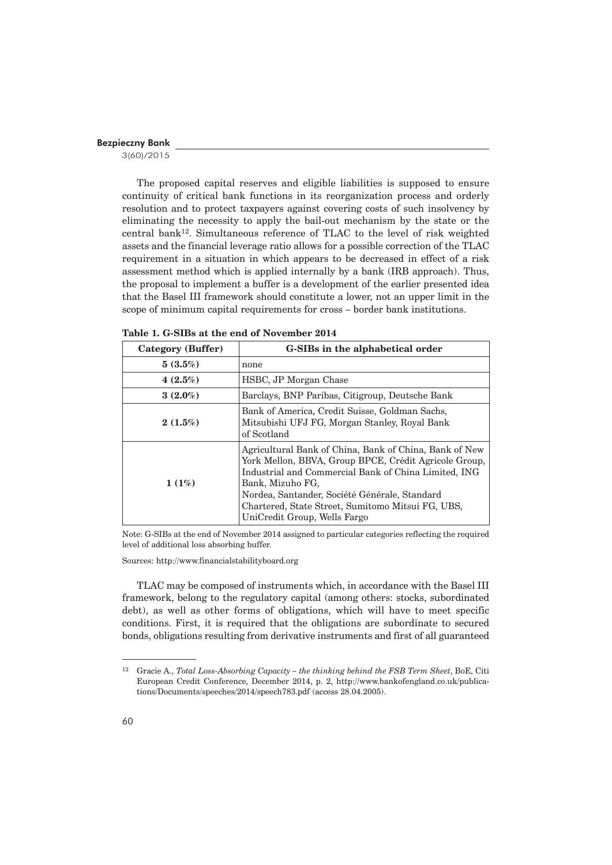3(60)/2015

The proposed capital reserves and eligible liabilities is supposed to ensure continuity of critical bank functions in its reorganization process and orderly resolution and to protect taxpayers against covering costs of such insolvency by eliminating the necessity to apply the bail-out mechanism by the state or the central bank<sup>12</sup>. Simultaneous reference of TLAC to the level of risk weighted assets and the financial leverage ratio allows for a possible correction of the TLAC requirement in a situation in which appears to be decreased in effect of a risk assessment method which is applied internally by a bank (IRB approach). Thus, the proposal to implement a buffer is a development of the earlier presented idea that the Basel III framework should constitute a lower, not an upper limit in the scope of minimum capital requirements for cross – border bank institutions.

| Category (Buffer) | G-SIBs in the alphabetical order                                                                                                                                                                                                                                                                                                  |  |  |
|-------------------|-----------------------------------------------------------------------------------------------------------------------------------------------------------------------------------------------------------------------------------------------------------------------------------------------------------------------------------|--|--|
| 5(3.5%)           | none                                                                                                                                                                                                                                                                                                                              |  |  |
| $4(2.5\%)$        | HSBC, JP Morgan Chase                                                                                                                                                                                                                                                                                                             |  |  |
| $3(2.0\%)$        | Barclays, BNP Paribas, Citigroup, Deutsche Bank                                                                                                                                                                                                                                                                                   |  |  |
| 2(1.5%)           | Bank of America, Credit Suisse, Goldman Sachs,<br>Mitsubishi UFJ FG, Morgan Stanley, Royal Bank<br>of Scotland                                                                                                                                                                                                                    |  |  |
| 1(1%)             | Agricultural Bank of China, Bank of China, Bank of New<br>York Mellon, BBVA, Group BPCE, Crédit Agricole Group,<br>Industrial and Commercial Bank of China Limited, ING<br>Bank, Mizuho FG,<br>Nordea, Santander, Société Générale, Standard<br>Chartered, State Street, Sumitomo Mitsui FG, UBS,<br>UniCredit Group, Wells Fargo |  |  |

**Table 1. G-SIBs at the end of November 2014**

Note: G-SIBs at the end of November 2014 assigned to particular categories reflecting the required level of additional loss absorbing buffer.

Sources: http://www.financialstabilityboard.org

TLAC may be composed of instruments which, in accordance with the Basel III framework, belong to the regulatory capital (among others: stocks, subordinated debt), as well as other forms of obligations, which will have to meet specific conditions. First, it is required that the obligations are subordinate to secured bonds, obligations resulting from derivative instruments and first of all guaranteed

<sup>12</sup> Gracie A., *Total Loss-Absorbing Capacity – the thinking behind the FSB Term Sheet*, BoE, Citi European Credit Conference, December 2014, p. 2, http://www.bankofengland.co.uk/publications/Documents/speeches/2014/speech783.pdf (access 28.04.2005).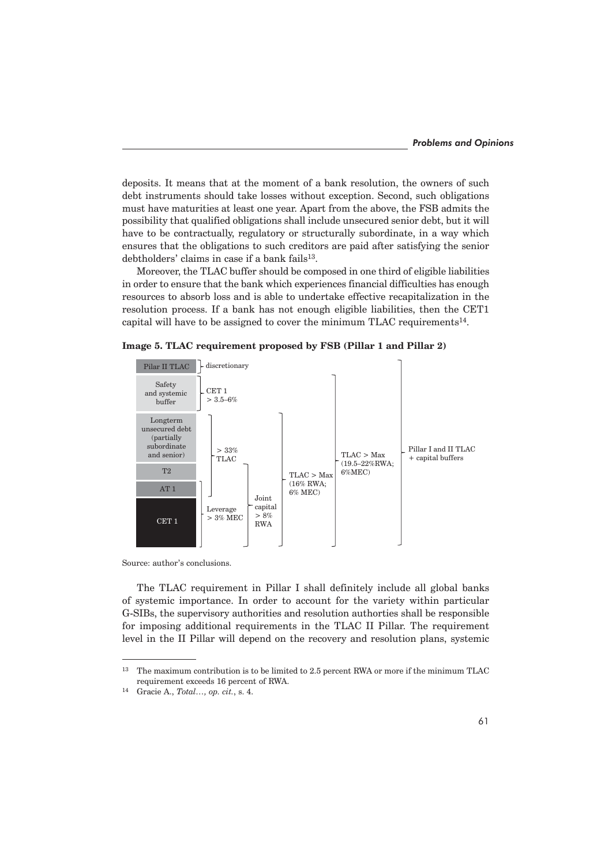deposits. It means that at the moment of a bank resolution, the owners of such debt instruments should take losses without exception. Second, such obligations must have maturities at least one year. Apart from the above, the FSB admits the possibility that qualified obligations shall include unsecured senior debt, but it will have to be contractually, regulatory or structurally subordinate, in a way which ensures that the obligations to such creditors are paid after satisfying the senior debtholders' claims in case if a bank fails<sup>13</sup>.

Moreover, the TLAC buffer should be composed in one third of eligible liabilities in order to ensure that the bank which experiences financial difficulties has enough resources to absorb loss and is able to undertake effective recapitalization in the resolution process. If a bank has not enough eligible liabilities, then the CET1 capital will have to be assigned to cover the minimum TLAC requirements14.

**Image 5. TLAC requirement proposed by FSB (Pillar 1 and Pillar 2)**



Source: author's conclusions.

The TLAC requirement in Pillar I shall definitely include all global banks of systemic importance. In order to account for the variety within particular G-SIBs, the supervisory authorities and resolution authorties shall be responsible for imposing additional requirements in the TLAC II Pillar. The requirement level in the II Pillar will depend on the recovery and resolution plans, systemic

<sup>&</sup>lt;sup>13</sup> The maximum contribution is to be limited to 2.5 percent RWA or more if the minimum TLAC requirement exceeds 16 percent of RWA.

<sup>14</sup> Gracie A., *Total…, op. cit.*, s. 4.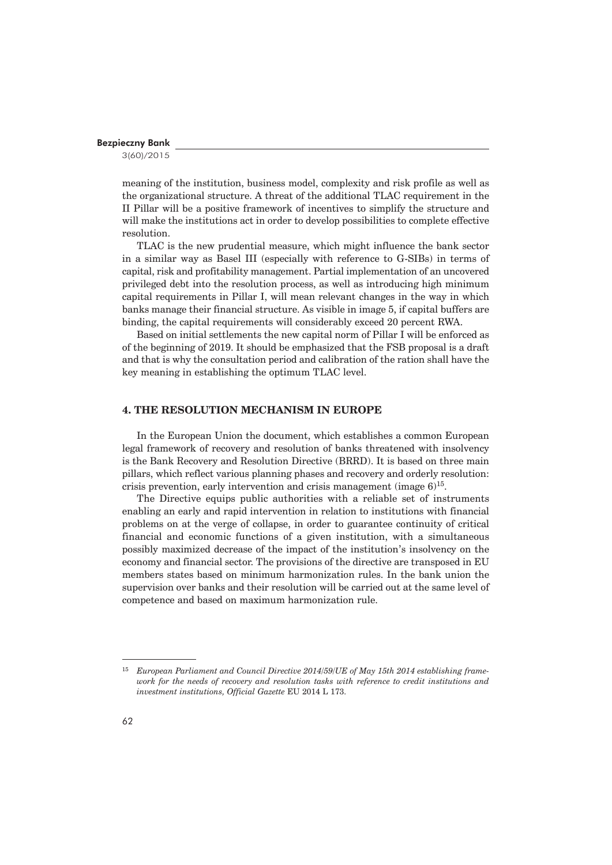3(60)/2015

meaning of the institution, business model, complexity and risk profile as well as the organizational structure. A threat of the additional TLAC requirement in the II Pillar will be a positive framework of incentives to simplify the structure and will make the institutions act in order to develop possibilities to complete effective resolution.

TLAC is the new prudential measure, which might influence the bank sector in a similar way as Basel III (especially with reference to G-SIBs) in terms of capital, risk and profitability management. Partial implementation of an uncovered privileged debt into the resolution process, as well as introducing high minimum capital requirements in Pillar I, will mean relevant changes in the way in which banks manage their financial structure. As visible in image 5, if capital buffers are binding, the capital requirements will considerably exceed 20 percent RWA.

Based on initial settlements the new capital norm of Pillar I will be enforced as of the beginning of 2019. It should be emphasized that the FSB proposal is a draft and that is why the consultation period and calibration of the ration shall have the key meaning in establishing the optimum TLAC level.

## **4. THE RESOLUTION MECHANISM IN EUROPE**

In the European Union the document, which establishes a common European legal framework of recovery and resolution of banks threatened with insolvency is the Bank Recovery and Resolution Directive (BRRD). It is based on three main pillars, which reflect various planning phases and recovery and orderly resolution: crisis prevention, early intervention and crisis management (image  $6$ )<sup>15</sup>.

The Directive equips public authorities with a reliable set of instruments enabling an early and rapid intervention in relation to institutions with financial problems on at the verge of collapse, in order to guarantee continuity of critical financial and economic functions of a given institution, with a simultaneous possibly maximized decrease of the impact of the institution's insolvency on the economy and financial sector. The provisions of the directive are transposed in EU members states based on minimum harmonization rules. In the bank union the supervision over banks and their resolution will be carried out at the same level of competence and based on maximum harmonization rule.

<sup>15</sup> *European Parliament and Council Directive 2014/59/UE of May 15th 2014 establishing framework for the needs of recovery and resolution tasks with reference to credit institutions and investment institutions, Official Gazette* EU 2014 L 173.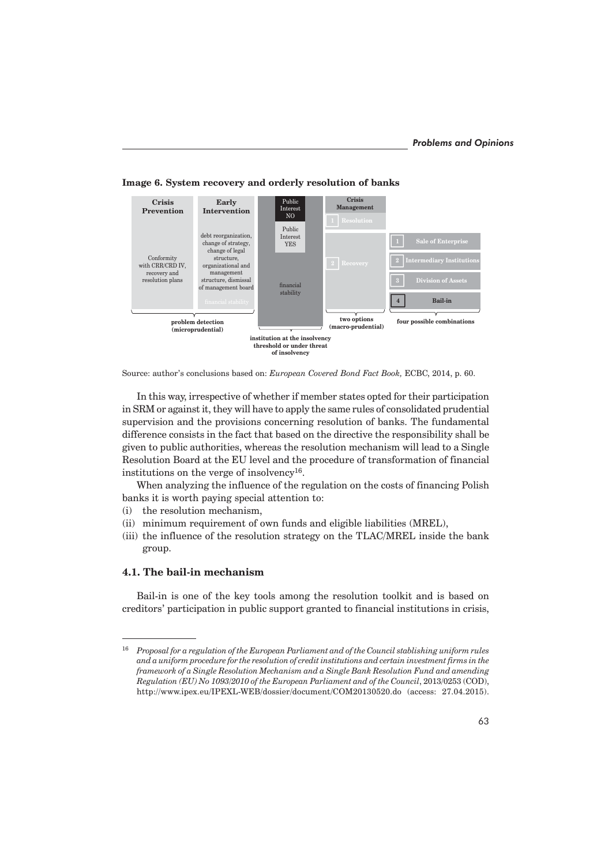

**Image 6. System recovery and orderly resolution of banks**

In this way, irrespective of whether if member states opted for their participation in SRM or against it, they will have to apply the same rules of consolidated prudential supervision and the provisions concerning resolution of banks. The fundamental difference consists in the fact that based on the directive the responsibility shall be given to public authorities, whereas the resolution mechanism will lead to a Single Resolution Board at the EU level and the procedure of transformation of financial institutions on the verge of insolvency16.

When analyzing the influence of the regulation on the costs of financing Polish banks it is worth paying special attention to:

- (i) the resolution mechanism,
- (ii) minimum requirement of own funds and eligible liabilities (MREL),
- (iii) the influence of the resolution strategy on the TLAC/MREL inside the bank group.

## **4.1. The bail-in mechanism**

Bail-in is one of the key tools among the resolution toolkit and is based on creditors' participation in public support granted to financial institutions in crisis,

Source: author's conclusions based on: *European Covered Bond Fact Book,* ECBC, 2014, p. 60.

<sup>16</sup> *Proposal for a regulation of the European Parliament and of the Council stablishing uniform rules and a uniform procedure for the resolution of credit institutions and certain investment firms in the framework of a Single Resolution Mechanism and a Single Bank Resolution Fund and amending Regulation (EU) No 1093/2010 of the European Parliament and of the Council*, 2013/0253 (COD), http://www.ipex.eu/IPEXL-WEB/dossier/document/COM20130520.do (access: 27.04.2015).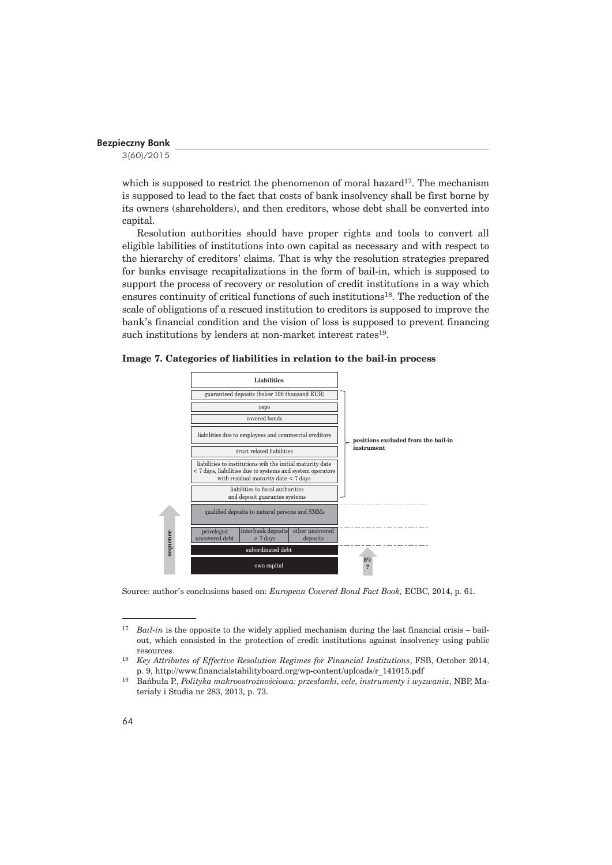3(60)/2015

which is supposed to restrict the phenomenon of moral hazard<sup>17</sup>. The mechanism is supposed to lead to the fact that costs of bank insolvency shall be first borne by its owners (shareholders), and then creditors, whose debt shall be converted into capital.

Resolution authorities should have proper rights and tools to convert all eligible labilities of institutions into own capital as necessary and with respect to the hierarchy of creditors' claims. That is why the resolution strategies prepared for banks envisage recapitalizations in the form of bail-in, which is supposed to support the process of recovery or resolution of credit institutions in a way which ensures continuity of critical functions of such institutions18. The reduction of the scale of obligations of a rescued institution to creditors is supposed to improve the bank's financial condition and the vision of loss is supposed to prevent financing such institutions by lenders at non-market interest rates<sup>19</sup>.





Source: author's conclusions based on: *European Covered Bond Fact Book,* ECBC, 2014, p. 61.

<sup>&</sup>lt;sup>17</sup> *Bail-in* is the opposite to the widely applied mechanism during the last financial crisis – bailout, which consisted in the protection of credit institutions against insolvency using public resources.

<sup>18</sup> *Key Attributes of Effective Resolution Regimes for Financial Institutions*, FSB, October 2014, p. 9, http://www.financialstabilityboard.org/wp-content/uploads/r\_141015.pdf

<sup>19</sup> Bañbuïa P., *Polityka makroostroĝnoĂciowa: przesïanki, cele, instrumenty i wyzwania*, NBP, Materiały i Studia nr 283, 2013, p. 73.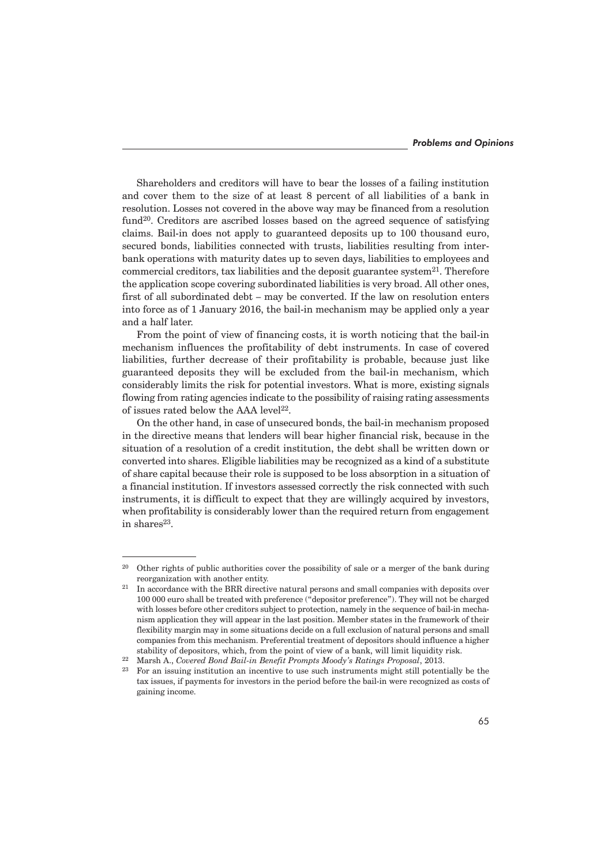Shareholders and creditors will have to bear the losses of a failing institution and cover them to the size of at least 8 percent of all liabilities of a bank in resolution. Losses not covered in the above way may be financed from a resolution fund<sup>20</sup>. Creditors are ascribed losses based on the agreed sequence of satisfying claims. Bail-in does not apply to guaranteed deposits up to 100 thousand euro, secured bonds, liabilities connected with trusts, liabilities resulting from interbank operations with maturity dates up to seven days, liabilities to employees and commercial creditors, tax liabilities and the deposit guarantee system<sup>21</sup>. Therefore the application scope covering subordinated liabilities is very broad. All other ones, first of all subordinated debt – may be converted. If the law on resolution enters into force as of 1 January 2016, the bail-in mechanism may be applied only a year and a half later.

From the point of view of financing costs, it is worth noticing that the bail-in mechanism influences the profitability of debt instruments. In case of covered liabilities, further decrease of their profitability is probable, because just like guaranteed deposits they will be excluded from the bail-in mechanism, which considerably limits the risk for potential investors. What is more, existing signals flowing from rating agencies indicate to the possibility of raising rating assessments of issues rated below the AAA level<sup>22</sup>.

On the other hand, in case of unsecured bonds, the bail-in mechanism proposed in the directive means that lenders will bear higher financial risk, because in the situation of a resolution of a credit institution, the debt shall be written down or converted into shares. Eligible liabilities may be recognized as a kind of a substitute of share capital because their role is supposed to be loss absorption in a situation of a financial institution. If investors assessed correctly the risk connected with such instruments, it is difficult to expect that they are willingly acquired by investors, when profitability is considerably lower than the required return from engagement in share $s^{23}$ .

<sup>&</sup>lt;sup>20</sup> Other rights of public authorities cover the possibility of sale or a merger of the bank during reorganization with another entity.

 $21$  In accordance with the BRR directive natural persons and small companies with deposits over 100 000 euro shall be treated with preference ("depositor preference"). They will not be charged with losses before other creditors subject to protection, namely in the sequence of bail-in mechanism application they will appear in the last position. Member states in the framework of their flexibility margin may in some situations decide on a full exclusion of natural persons and small companies from this mechanism. Preferential treatment of depositors should influence a higher stability of depositors, which, from the point of view of a bank, will limit liquidity risk.

<sup>22</sup> Marsh A., *Covered Bond Bail-in Benefit Prompts Moody's Ratings Proposal*, 2013.

<sup>23</sup> For an issuing institution an incentive to use such instruments might still potentially be the tax issues, if payments for investors in the period before the bail-in were recognized as costs of gaining income.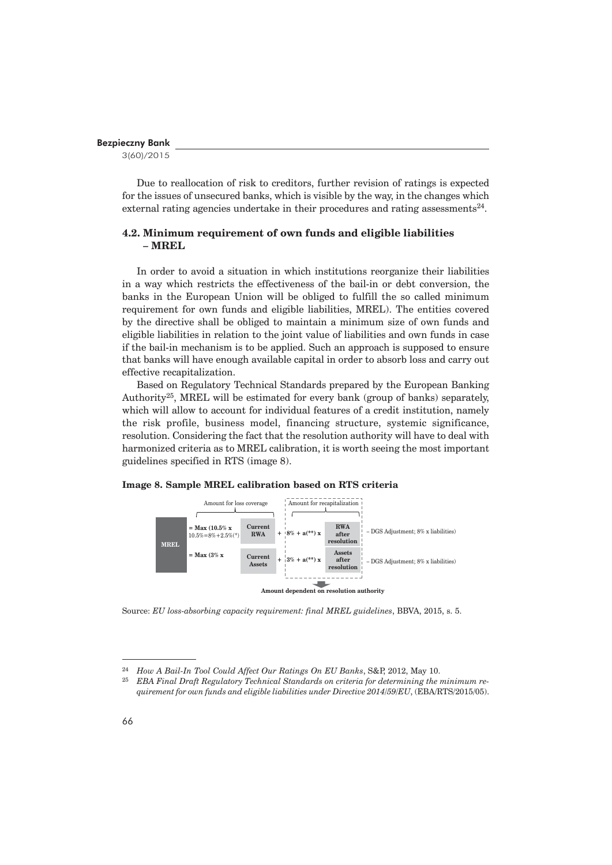3(60)/2015

Due to reallocation of risk to creditors, further revision of ratings is expected for the issues of unsecured banks, which is visible by the way, in the changes which external rating agencies undertake in their procedures and rating assessments<sup>24</sup>.

# **4.2. Minimum requirement of own funds and eligible liabilities – MREL**

In order to avoid a situation in which institutions reorganize their liabilities in a way which restricts the effectiveness of the bail-in or debt conversion, the banks in the European Union will be obliged to fulfill the so called minimum requirement for own funds and eligible liabilities, MREL). The entities covered by the directive shall be obliged to maintain a minimum size of own funds and eligible liabilities in relation to the joint value of liabilities and own funds in case if the bail-in mechanism is to be applied. Such an approach is supposed to ensure that banks will have enough available capital in order to absorb loss and carry out effective recapitalization.

Based on Regulatory Technical Standards prepared by the European Banking Authority25, MREL will be estimated for every bank (group of banks) separately, which will allow to account for individual features of a credit institution, namely the risk profile, business model, financing structure, systemic significance, resolution. Considering the fact that the resolution authority will have to deal with harmonized criteria as to MREL calibration, it is worth seeing the most important guidelines specified in RTS (image 8).

## **Image 8. Sample MREL calibration based on RTS criteria**



Source: *EU loss-absorbing capacity requirement: final MREL guidelines*, BBVA, 2015, s. 5.

<sup>24</sup> *How A Bail-In Tool Could Affect Our Ratings On EU Banks*, S&P, 2012, May 10.

<sup>25</sup> *EBA Final Draft Regulatory Technical Standards on criteria for determining the minimum requirement for own funds and eligible liabilities under Directive 2014/59/EU*, (EBA/RTS/2015/05).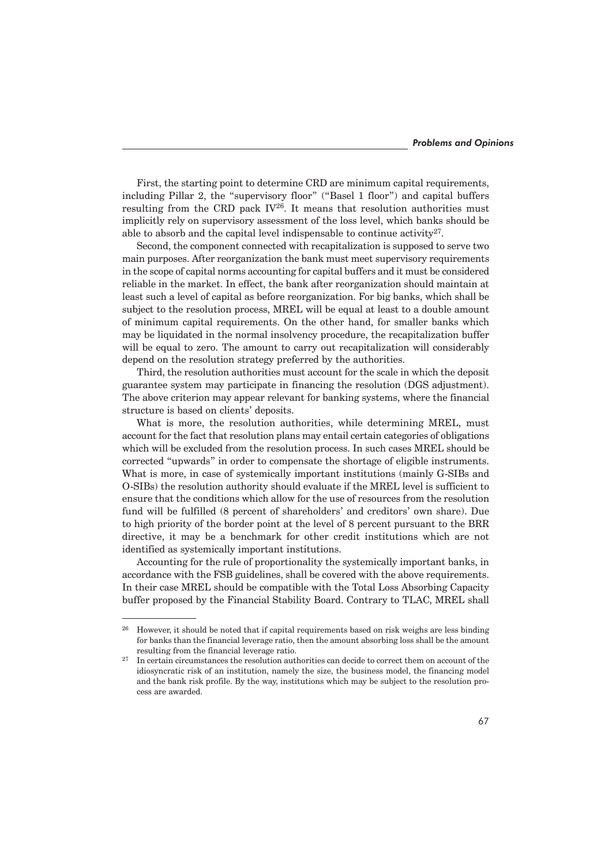First, the starting point to determine CRD are minimum capital requirements, including Pillar 2, the "supervisory floor" ("Basel 1 floor") and capital buffers resulting from the CRD pack  $IV^{26}$ . It means that resolution authorities must implicitly rely on supervisory assessment of the loss level, which banks should be able to absorb and the capital level indispensable to continue activity<sup>27</sup>.

Second, the component connected with recapitalization is supposed to serve two main purposes. After reorganization the bank must meet supervisory requirements in the scope of capital norms accounting for capital buffers and it must be considered reliable in the market. In effect, the bank after reorganization should maintain at least such a level of capital as before reorganization. For big banks, which shall be subject to the resolution process, MREL will be equal at least to a double amount of minimum capital requirements. On the other hand, for smaller banks which may be liquidated in the normal insolvency procedure, the recapitalization buffer will be equal to zero. The amount to carry out recapitalization will considerably depend on the resolution strategy preferred by the authorities.

Third, the resolution authorities must account for the scale in which the deposit guarantee system may participate in financing the resolution (DGS adjustment). The above criterion may appear relevant for banking systems, where the financial structure is based on clients' deposits.

What is more, the resolution authorities, while determining MREL, must account for the fact that resolution plans may entail certain categories of obligations which will be excluded from the resolution process. In such cases MREL should be corrected "upwards" in order to compensate the shortage of eligible instruments. What is more, in case of systemically important institutions (mainly G-SIBs and O-SIBs) the resolution authority should evaluate if the MREL level is sufficient to ensure that the conditions which allow for the use of resources from the resolution fund will be fulfilled (8 percent of shareholders' and creditors' own share). Due to high priority of the border point at the level of 8 percent pursuant to the BRR directive, it may be a benchmark for other credit institutions which are not identified as systemically important institutions.

Accounting for the rule of proportionality the systemically important banks, in accordance with the FSB guidelines, shall be covered with the above requirements. In their case MREL should be compatible with the Total Loss Absorbing Capacity buffer proposed by the Financial Stability Board. Contrary to TLAC, MREL shall

<sup>&</sup>lt;sup>26</sup> However, it should be noted that if capital requirements based on risk weighs are less binding for banks than the financial leverage ratio, then the amount absorbing loss shall be the amount resulting from the financial leverage ratio.

<sup>27</sup> In certain circumstances the resolution authorities can decide to correct them on account of the idiosyncratic risk of an institution, namely the size, the business model, the financing model and the bank risk profile. By the way, institutions which may be subject to the resolution process are awarded.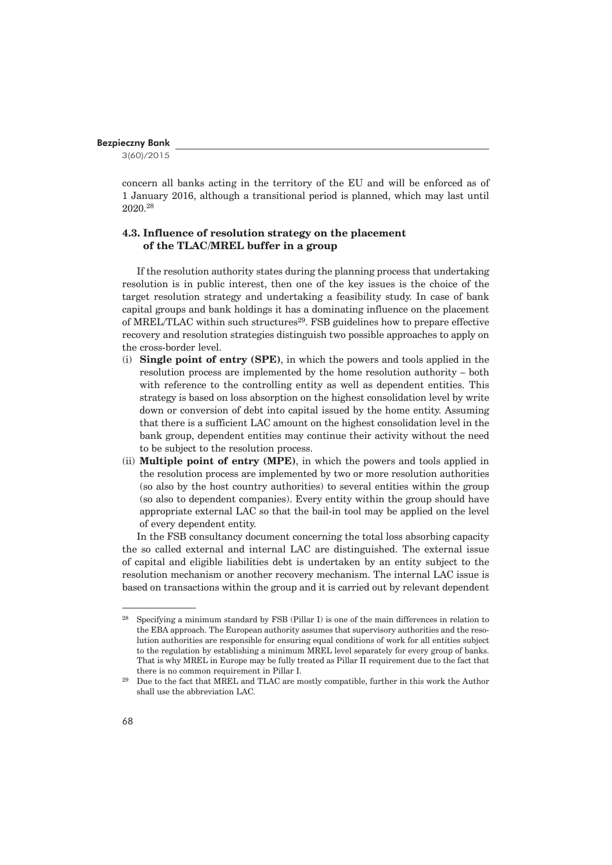3(60)/2015

concern all banks acting in the territory of the EU and will be enforced as of 1 January 2016, although a transitional period is planned, which may last until 2020.28

## **4.3. Influence of resolution strategy on the placement of the TLAC/MREL buffer in a group**

If the resolution authority states during the planning process that undertaking resolution is in public interest, then one of the key issues is the choice of the target resolution strategy and undertaking a feasibility study. In case of bank capital groups and bank holdings it has a dominating influence on the placement of MREL/TLAC within such structures<sup>29</sup>. FSB guidelines how to prepare effective recovery and resolution strategies distinguish two possible approaches to apply on the cross-border level.

- (i) **Single point of entry (SPE)**, in which the powers and tools applied in the resolution process are implemented by the home resolution authority – both with reference to the controlling entity as well as dependent entities. This strategy is based on loss absorption on the highest consolidation level by write down or conversion of debt into capital issued by the home entity. Assuming that there is a sufficient LAC amount on the highest consolidation level in the bank group, dependent entities may continue their activity without the need to be subject to the resolution process.
- (ii) **Multiple point of entry (MPE)**, in which the powers and tools applied in the resolution process are implemented by two or more resolution authorities (so also by the host country authorities) to several entities within the group (so also to dependent companies). Every entity within the group should have appropriate external LAC so that the bail-in tool may be applied on the level of every dependent entity.

In the FSB consultancy document concerning the total loss absorbing capacity the so called external and internal LAC are distinguished. The external issue of capital and eligible liabilities debt is undertaken by an entity subject to the resolution mechanism or another recovery mechanism. The internal LAC issue is based on transactions within the group and it is carried out by relevant dependent

<sup>28</sup> Specifying a minimum standard by FSB (Pillar I) is one of the main differences in relation to the EBA approach. The European authority assumes that supervisory authorities and the resolution authorities are responsible for ensuring equal conditions of work for all entities subject to the regulation by establishing a minimum MREL level separately for every group of banks. That is why MREL in Europe may be fully treated as Pillar II requirement due to the fact that there is no common requirement in Pillar I.

<sup>&</sup>lt;sup>29</sup> Due to the fact that MREL and TLAC are mostly compatible, further in this work the Author shall use the abbreviation LAC.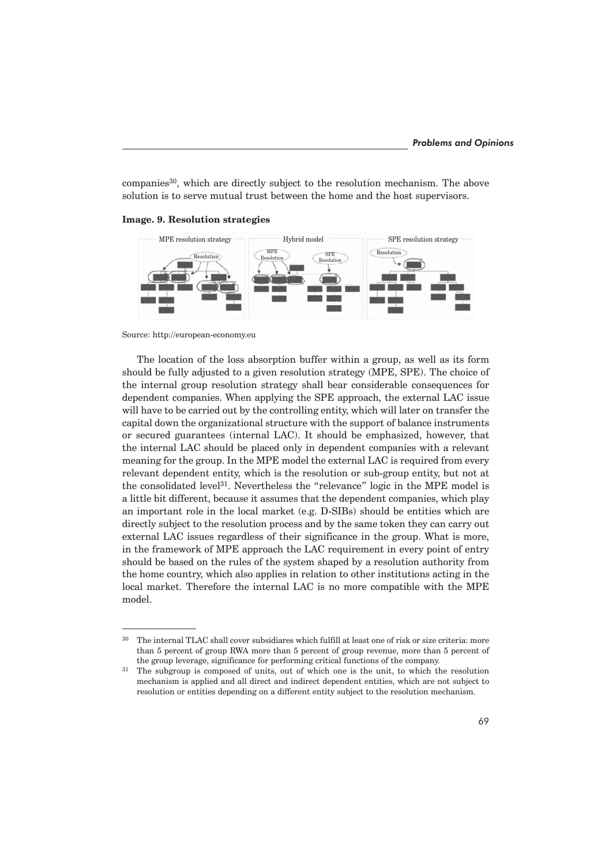companies<sup>30</sup>, which are directly subject to the resolution mechanism. The above solution is to serve mutual trust between the home and the host supervisors.

**Image. 9. Resolution strategies**



Source: http://european-economy.eu

The location of the loss absorption buffer within a group, as well as its form should be fully adjusted to a given resolution strategy (MPE, SPE). The choice of the internal group resolution strategy shall bear considerable consequences for dependent companies. When applying the SPE approach, the external LAC issue will have to be carried out by the controlling entity, which will later on transfer the capital down the organizational structure with the support of balance instruments or secured guarantees (internal LAC). It should be emphasized, however, that the internal LAC should be placed only in dependent companies with a relevant meaning for the group. In the MPE model the external LAC is required from every relevant dependent entity, which is the resolution or sub-group entity, but not at the consolidated level<sup>31</sup>. Nevertheless the "relevance" logic in the MPE model is a little bit different, because it assumes that the dependent companies, which play an important role in the local market (e.g. D-SIBs) should be entities which are directly subject to the resolution process and by the same token they can carry out external LAC issues regardless of their significance in the group. What is more, in the framework of MPE approach the LAC requirement in every point of entry should be based on the rules of the system shaped by a resolution authority from the home country, which also applies in relation to other institutions acting in the local market. Therefore the internal LAC is no more compatible with the MPE model.

<sup>&</sup>lt;sup>30</sup> The internal TLAC shall cover subsidiares which fulfill at least one of risk or size criteria: more than 5 percent of group RWA more than 5 percent of group revenue, more than 5 percent of the group leverage, significance for performing critical functions of the company.

<sup>&</sup>lt;sup>31</sup> The subgroup is composed of units, out of which one is the unit, to which the resolution mechanism is applied and all direct and indirect dependent entities, which are not subject to resolution or entities depending on a different entity subject to the resolution mechanism.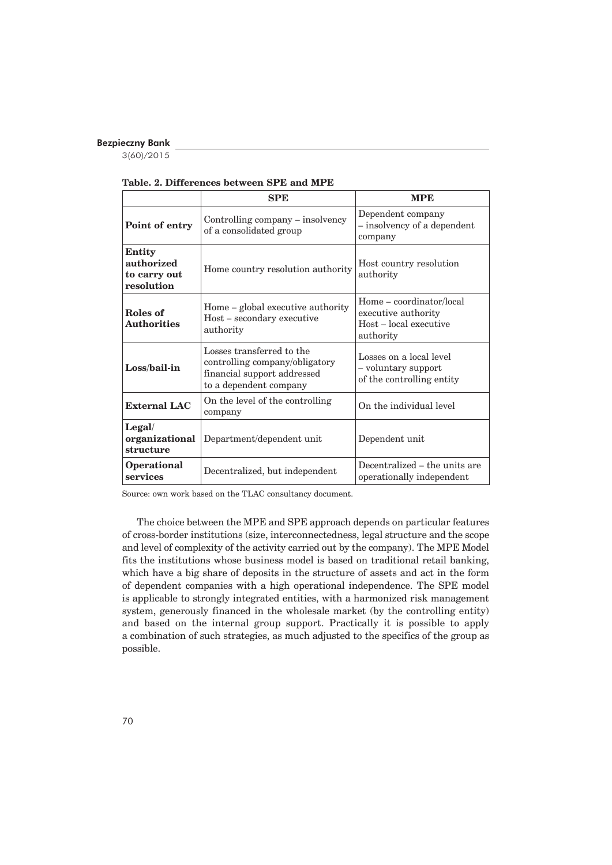3(60)/2015

|  | Table, 2. Differences between SPE and MPE |  |  |  |
|--|-------------------------------------------|--|--|--|
|  |                                           |  |  |  |

|                                                    | <b>SPE</b>                                                                                                           | <b>MPE</b>                                                                             |  |  |
|----------------------------------------------------|----------------------------------------------------------------------------------------------------------------------|----------------------------------------------------------------------------------------|--|--|
| Point of entry                                     | Controlling company – insolvency<br>of a consolidated group                                                          | Dependent company<br>- insolvency of a dependent<br>company                            |  |  |
| Entity<br>authorized<br>to carry out<br>resolution | Home country resolution authority                                                                                    | Host country resolution<br>authority                                                   |  |  |
| Roles of<br><b>Authorities</b>                     | Home – global executive authority<br>$Host - secondary$ executive<br>authority                                       | Home – coordinator/local<br>executive authority<br>Host – local executive<br>authority |  |  |
| Loss/bail-in                                       | Losses transferred to the<br>controlling company/obligatory<br>financial support addressed<br>to a dependent company | Losses on a local level<br>- voluntary support<br>of the controlling entity            |  |  |
| <b>External LAC</b>                                | On the level of the controlling<br>company                                                                           | On the individual level                                                                |  |  |
| Legal/<br>organizational<br>structure              | Department/dependent unit                                                                                            | Dependent unit                                                                         |  |  |
| <b>Operational</b><br>services                     | Decentralized, but independent                                                                                       | Decentralized – the units are<br>operationally independent                             |  |  |

Source: own work based on the TLAC consultancy document.

The choice between the MPE and SPE approach depends on particular features of cross-border institutions (size, interconnectedness, legal structure and the scope and level of complexity of the activity carried out by the company). The MPE Model fits the institutions whose business model is based on traditional retail banking, which have a big share of deposits in the structure of assets and act in the form of dependent companies with a high operational independence. The SPE model is applicable to strongly integrated entities, with a harmonized risk management system, generously financed in the wholesale market (by the controlling entity) and based on the internal group support. Practically it is possible to apply a combination of such strategies, as much adjusted to the specifics of the group as possible.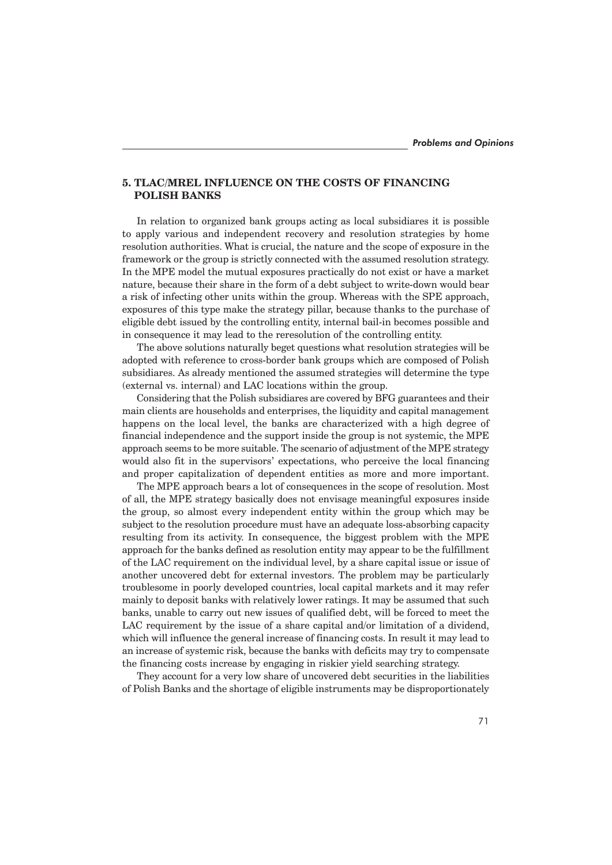# **5. TLAC/MREL INFLUENCE ON THE COSTS OF FINANCING POLISH BANKS**

In relation to organized bank groups acting as local subsidiares it is possible to apply various and independent recovery and resolution strategies by home resolution authorities. What is crucial, the nature and the scope of exposure in the framework or the group is strictly connected with the assumed resolution strategy. In the MPE model the mutual exposures practically do not exist or have a market nature, because their share in the form of a debt subject to write-down would bear a risk of infecting other units within the group. Whereas with the SPE approach, exposures of this type make the strategy pillar, because thanks to the purchase of eligible debt issued by the controlling entity, internal bail-in becomes possible and in consequence it may lead to the reresolution of the controlling entity.

The above solutions naturally beget questions what resolution strategies will be adopted with reference to cross-border bank groups which are composed of Polish subsidiares. As already mentioned the assumed strategies will determine the type (external vs. internal) and LAC locations within the group.

Considering that the Polish subsidiares are covered by BFG guarantees and their main clients are households and enterprises, the liquidity and capital management happens on the local level, the banks are characterized with a high degree of financial independence and the support inside the group is not systemic, the MPE approach seems to be more suitable. The scenario of adjustment of the MPE strategy would also fit in the supervisors' expectations, who perceive the local financing and proper capitalization of dependent entities as more and more important.

The MPE approach bears a lot of consequences in the scope of resolution. Most of all, the MPE strategy basically does not envisage meaningful exposures inside the group, so almost every independent entity within the group which may be subject to the resolution procedure must have an adequate loss-absorbing capacity resulting from its activity. In consequence, the biggest problem with the MPE approach for the banks defined as resolution entity may appear to be the fulfillment of the LAC requirement on the individual level, by a share capital issue or issue of another uncovered debt for external investors. The problem may be particularly troublesome in poorly developed countries, local capital markets and it may refer mainly to deposit banks with relatively lower ratings. It may be assumed that such banks, unable to carry out new issues of qualified debt, will be forced to meet the LAC requirement by the issue of a share capital and/or limitation of a dividend. which will influence the general increase of financing costs. In result it may lead to an increase of systemic risk, because the banks with deficits may try to compensate the financing costs increase by engaging in riskier yield searching strategy.

They account for a very low share of uncovered debt securities in the liabilities of Polish Banks and the shortage of eligible instruments may be disproportionately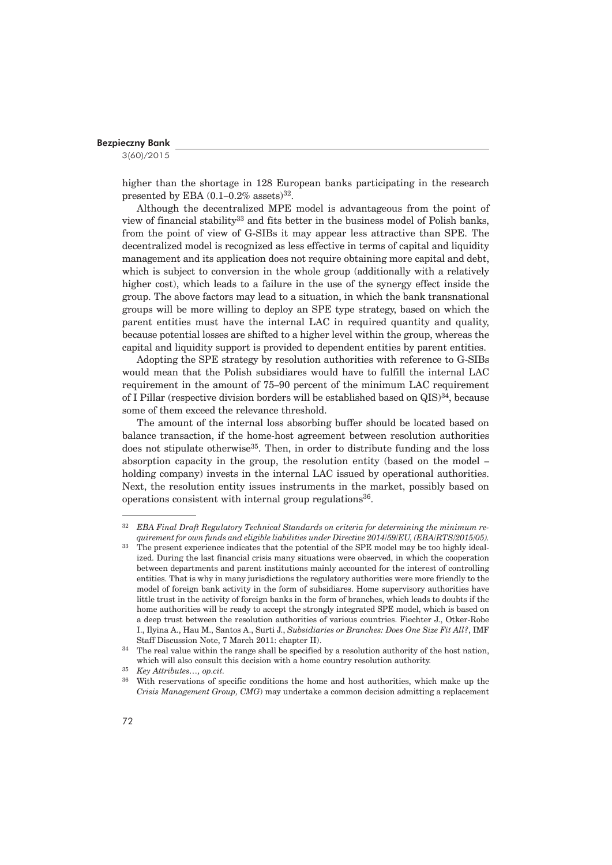3(60)/2015

higher than the shortage in 128 European banks participating in the research presented by EBA  $(0.1-0.2\%$  assets)<sup>32</sup>.

Although the decentralized MPE model is advantageous from the point of view of financial stability33 and fits better in the business model of Polish banks, from the point of view of G-SIBs it may appear less attractive than SPE. The decentralized model is recognized as less effective in terms of capital and liquidity management and its application does not require obtaining more capital and debt, which is subject to conversion in the whole group (additionally with a relatively higher cost), which leads to a failure in the use of the synergy effect inside the group. The above factors may lead to a situation, in which the bank transnational groups will be more willing to deploy an SPE type strategy, based on which the parent entities must have the internal LAC in required quantity and quality, because potential losses are shifted to a higher level within the group, whereas the capital and liquidity support is provided to dependent entities by parent entities.

Adopting the SPE strategy by resolution authorities with reference to G-SIBs would mean that the Polish subsidiares would have to fulfill the internal LAC requirement in the amount of 75–90 percent of the minimum LAC requirement of I Pillar (respective division borders will be established based on  $QIS$ )<sup>34</sup>, because some of them exceed the relevance threshold.

The amount of the internal loss absorbing buffer should be located based on balance transaction, if the home-host agreement between resolution authorities does not stipulate otherwise<sup>35</sup>. Then, in order to distribute funding and the loss absorption capacity in the group, the resolution entity (based on the model – holding company) invests in the internal LAC issued by operational authorities. Next, the resolution entity issues instruments in the market, possibly based on operations consistent with internal group regulations $36$ .

<sup>32</sup> *EBA Final Draft Regulatory Technical Standards on criteria for determining the minimum requirement for own funds and eligible liabilities under Directive 2014/59/EU, (EBA/RTS/2015/05).*

<sup>&</sup>lt;sup>33</sup> The present experience indicates that the potential of the SPE model may be too highly idealized. During the last financial crisis many situations were observed, in which the cooperation between departments and parent institutions mainly accounted for the interest of controlling entities. That is why in many jurisdictions the regulatory authorities were more friendly to the model of foreign bank activity in the form of subsidiares. Home supervisory authorities have little trust in the activity of foreign banks in the form of branches, which leads to doubts if the home authorities will be ready to accept the strongly integrated SPE model, which is based on a deep trust between the resolution authorities of various countries. Fiechter J., Otker-Robe I., Ilyina A., Hau M., Santos A., Surti J., *Subsidiaries or Branches: Does One Size Fit All?*, IMF Staff Discussion Note, 7 March 2011: chapter II).

<sup>&</sup>lt;sup>34</sup> The real value within the range shall be specified by a resolution authority of the host nation, which will also consult this decision with a home country resolution authority.

<sup>35</sup> *Key Attributes…, op.cit.*

With reservations of specific conditions the home and host authorities, which make up the *Crisis Management Group, CMG*) may undertake a common decision admitting a replacement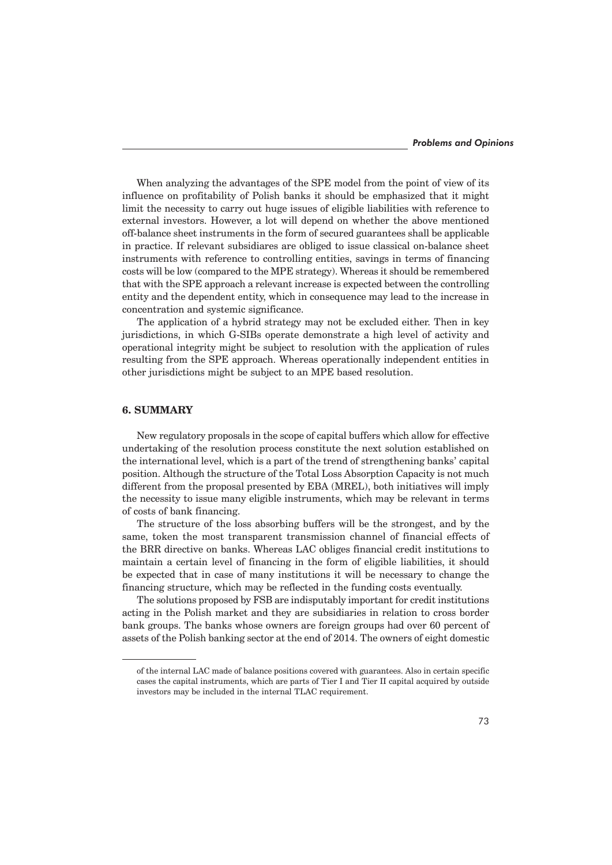When analyzing the advantages of the SPE model from the point of view of its influence on profitability of Polish banks it should be emphasized that it might limit the necessity to carry out huge issues of eligible liabilities with reference to external investors. However, a lot will depend on whether the above mentioned off-balance sheet instruments in the form of secured guarantees shall be applicable in practice. If relevant subsidiares are obliged to issue classical on-balance sheet instruments with reference to controlling entities, savings in terms of financing costs will be low (compared to the MPE strategy). Whereas it should be remembered that with the SPE approach a relevant increase is expected between the controlling entity and the dependent entity, which in consequence may lead to the increase in concentration and systemic significance.

The application of a hybrid strategy may not be excluded either. Then in key jurisdictions, in which G-SIBs operate demonstrate a high level of activity and operational integrity might be subject to resolution with the application of rules resulting from the SPE approach. Whereas operationally independent entities in other jurisdictions might be subject to an MPE based resolution.

# **6. SUMMARY**

New regulatory proposals in the scope of capital buffers which allow for effective undertaking of the resolution process constitute the next solution established on the international level, which is a part of the trend of strengthening banks' capital position. Although the structure of the Total Loss Absorption Capacity is not much different from the proposal presented by EBA (MREL), both initiatives will imply the necessity to issue many eligible instruments, which may be relevant in terms of costs of bank financing.

The structure of the loss absorbing buffers will be the strongest, and by the same, token the most transparent transmission channel of financial effects of the BRR directive on banks. Whereas LAC obliges financial credit institutions to maintain a certain level of financing in the form of eligible liabilities, it should be expected that in case of many institutions it will be necessary to change the financing structure, which may be reflected in the funding costs eventually.

The solutions proposed by FSB are indisputably important for credit institutions acting in the Polish market and they are subsidiaries in relation to cross border bank groups. The banks whose owners are foreign groups had over 60 percent of assets of the Polish banking sector at the end of 2014. The owners of eight domestic

of the internal LAC made of balance positions covered with guarantees. Also in certain specific cases the capital instruments, which are parts of Tier I and Tier II capital acquired by outside investors may be included in the internal TLAC requirement.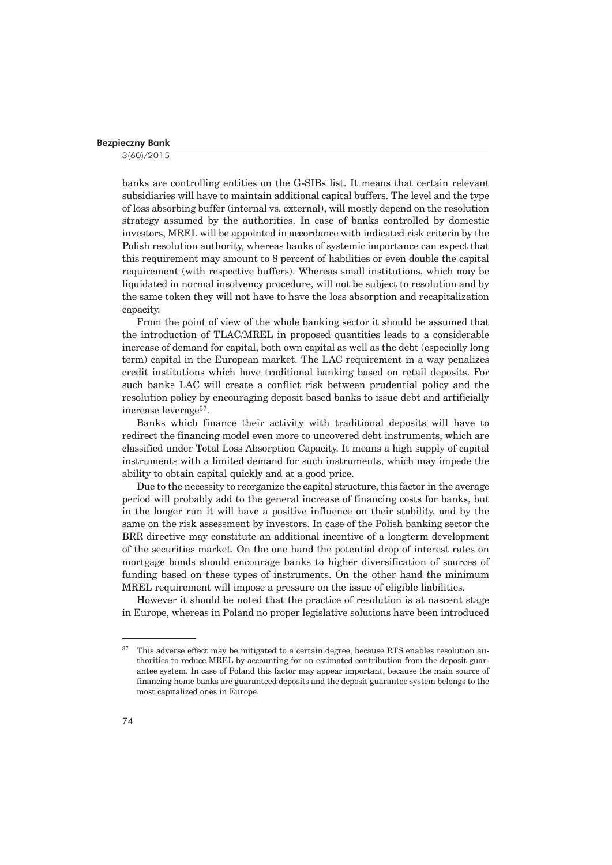3(60)/2015

banks are controlling entities on the G-SIBs list. It means that certain relevant subsidiaries will have to maintain additional capital buffers. The level and the type of loss absorbing buffer (internal vs. external), will mostly depend on the resolution strategy assumed by the authorities. In case of banks controlled by domestic investors, MREL will be appointed in accordance with indicated risk criteria by the Polish resolution authority, whereas banks of systemic importance can expect that this requirement may amount to 8 percent of liabilities or even double the capital requirement (with respective buffers). Whereas small institutions, which may be liquidated in normal insolvency procedure, will not be subject to resolution and by the same token they will not have to have the loss absorption and recapitalization capacity.

From the point of view of the whole banking sector it should be assumed that the introduction of TLAC/MREL in proposed quantities leads to a considerable increase of demand for capital, both own capital as well as the debt (especially long term) capital in the European market. The LAC requirement in a way penalizes credit institutions which have traditional banking based on retail deposits. For such banks LAC will create a conflict risk between prudential policy and the resolution policy by encouraging deposit based banks to issue debt and artificially increase leverage37.

Banks which finance their activity with traditional deposits will have to redirect the financing model even more to uncovered debt instruments, which are classified under Total Loss Absorption Capacity. It means a high supply of capital instruments with a limited demand for such instruments, which may impede the ability to obtain capital quickly and at a good price.

Due to the necessity to reorganize the capital structure, this factor in the average period will probably add to the general increase of financing costs for banks, but in the longer run it will have a positive influence on their stability, and by the same on the risk assessment by investors. In case of the Polish banking sector the BRR directive may constitute an additional incentive of a longterm development of the securities market. On the one hand the potential drop of interest rates on mortgage bonds should encourage banks to higher diversification of sources of funding based on these types of instruments. On the other hand the minimum MREL requirement will impose a pressure on the issue of eligible liabilities.

However it should be noted that the practice of resolution is at nascent stage in Europe, whereas in Poland no proper legislative solutions have been introduced

 $37$  This adverse effect may be mitigated to a certain degree, because RTS enables resolution authorities to reduce MREL by accounting for an estimated contribution from the deposit guarantee system. In case of Poland this factor may appear important, because the main source of financing home banks are guaranteed deposits and the deposit guarantee system belongs to the most capitalized ones in Europe.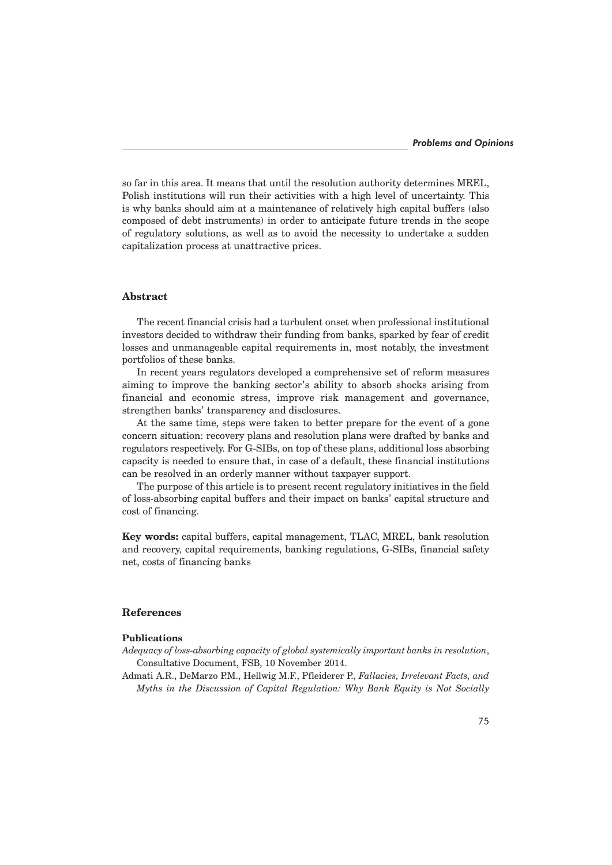so far in this area. It means that until the resolution authority determines MREL, Polish institutions will run their activities with a high level of uncertainty. This is why banks should aim at a maintenance of relatively high capital buffers (also composed of debt instruments) in order to anticipate future trends in the scope of regulatory solutions, as well as to avoid the necessity to undertake a sudden capitalization process at unattractive prices.

## **Abstract**

The recent financial crisis had a turbulent onset when professional institutional investors decided to withdraw their funding from banks, sparked by fear of credit losses and unmanageable capital requirements in, most notably, the investment portfolios of these banks.

In recent years regulators developed a comprehensive set of reform measures aiming to improve the banking sector's ability to absorb shocks arising from financial and economic stress, improve risk management and governance, strengthen banks' transparency and disclosures.

At the same time, steps were taken to better prepare for the event of a gone concern situation: recovery plans and resolution plans were drafted by banks and regulators respectively. For G-SIBs, on top of these plans, additional loss absorbing capacity is needed to ensure that, in case of a default, these financial institutions can be resolved in an orderly manner without taxpayer support.

The purpose of this article is to present recent regulatory initiatives in the field of loss-absorbing capital buffers and their impact on banks' capital structure and cost of financing.

**Key words:** capital buffers, capital management, TLAC, MREL, bank resolution and recovery, capital requirements, banking regulations, G-SIBs, financial safety net, costs of financing banks

## **References**

## **Publications**

- *Adequacy of loss-absorbing capacity of global systemically important banks in resolution*, Consultative Document, FSB, 10 November 2014.
- Admati A.R., DeMarzo P.M., Hellwig M.F., Pfleiderer P., *Fallacies, Irrelevant Facts, and Myths in the Discussion of Capital Regulation: Why Bank Equity is Not Socially*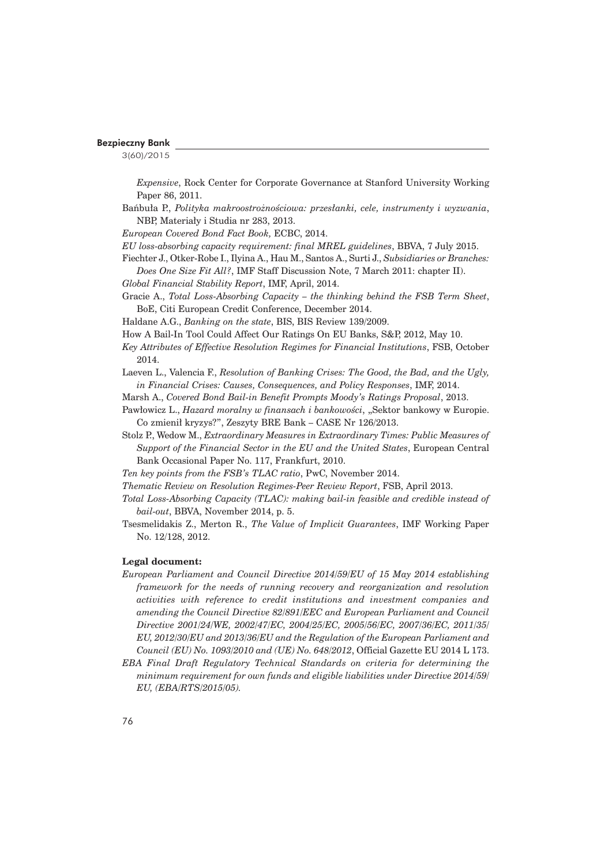3(60)/2015

*Expensive*, Rock Center for Corporate Governance at Stanford University Working Paper 86, 2011.

Bańbuła P., *Polityka makroostrożnościowa: przesłanki, cele, instrumenty i wyzwania,* NBP, Materiały i Studia nr 283, 2013.

*European Covered Bond Fact Book,* ECBC, 2014.

- *EU loss-absorbing capacity requirement: final MREL guidelines*, BBVA, 7 July 2015.
- Fiechter J., Otker-Robe I., Ilyina A., Hau M., Santos A., Surti J., *Subsidiaries or Branches: Does One Size Fit All?*, IMF Staff Discussion Note, 7 March 2011: chapter II).
- *Global Financial Stability Report*, IMF, April, 2014.
- Gracie A., *Total Loss-Absorbing Capacity the thinking behind the FSB Term Sheet*, BoE, Citi European Credit Conference, December 2014.
- Haldane A.G., *Banking on the state*, BIS, BIS Review 139/2009.
- How A Bail-In Tool Could Affect Our Ratings On EU Banks, S&P, 2012, May 10.
- *Key Attributes of Effective Resolution Regimes for Financial Institutions*, FSB, October 2014.
- Laeven L., Valencia F., *Resolution of Banking Crises: The Good, the Bad, and the Ugly, in Financial Crises: Causes, Consequences, and Policy Responses*, IMF, 2014.
- Marsh A., *Covered Bond Bail-in Benefit Prompts Moody's Ratings Proposal*, 2013.
- Pawłowicz L., *Hazard moralny w finansach i bankowości*, "Sektor bankowy w Europie. Co zmieniï kryzys?", Zeszyty BRE Bank – CASE Nr 126/2013.
- Stolz P., Wedow M., *Extraordinary Measures in Extraordinary Times: Public Measures of Support of the Financial Sector in the EU and the United States*, European Central Bank Occasional Paper No. 117, Frankfurt, 2010.
- *Ten key points from the FSB's TLAC ratio*, PwC, November 2014.
- *Thematic Review on Resolution Regimes-Peer Review Report*, FSB, April 2013.
- *Total Loss-Absorbing Capacity (TLAC): making bail-in feasible and credible instead of bail-out*, BBVA, November 2014, p. 5.
- Tsesmelidakis Z., Merton R., *The Value of Implicit Guarantees*, IMF Working Paper No. 12/128, 2012.

## **Legal document:**

- *European Parliament and Council Directive 2014/59/EU of 15 May 2014 establishing framework for the needs of running recovery and reorganization and resolution activities with reference to credit institutions and investment companies and amending the Council Directive 82/891/EEC and European Parliament and Council Directive 2001/24/WE, 2002/47/EC, 2004/25/EC, 2005/56/EC, 2007/36/EC, 2011/35/ EU, 2012/30/EU and 2013/36/EU and the Regulation of the European Parliament and Council (EU) No. 1093/2010 and (UE) No. 648/2012*, Official Gazette EU 2014 L 173.
- *EBA Final Draft Regulatory Technical Standards on criteria for determining the minimum requirement for own funds and eligible liabilities under Directive 2014/59/ EU, (EBA/RTS/2015/05).*